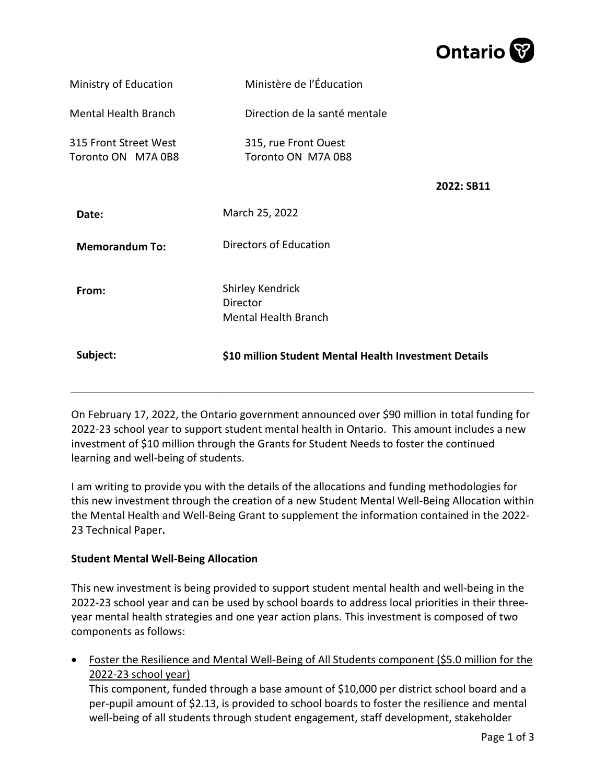

| Subject:                                    | \$10 million Student Mental Health Investment Details              |            |
|---------------------------------------------|--------------------------------------------------------------------|------------|
| From:                                       | <b>Shirley Kendrick</b><br>Director<br><b>Mental Health Branch</b> |            |
| <b>Memorandum To:</b>                       | Directors of Education                                             |            |
| Date:                                       | March 25, 2022                                                     |            |
| 315 Front Street West<br>Toronto ON M7A 0B8 | 315, rue Front Ouest<br>Toronto ON M7A 0B8                         | 2022: SB11 |
| <b>Mental Health Branch</b>                 | Direction de la santé mentale                                      |            |
| Ministry of Education                       | Ministère de l'Éducation                                           |            |

On February 17, 2022, the Ontario government announced over \$90 million in total funding for 2022-23 school year to support student mental health in Ontario. This amount includes a new investment of \$10 million through the Grants for Student Needs to foster the continued learning and well-being of students.

I am writing to provide you with the details of the allocations and funding methodologies for this new investment through the creation of a new Student Mental Well-Being Allocation within the Mental Health and Well-Being Grant to supplement the information contained in the 2022- 23 Technical Paper**.**

## **Student Mental Well-Being Allocation**

This new investment is being provided to support student mental health and well-being in the 2022-23 school year and can be used by school boards to address local priorities in their threeyear mental health strategies and one year action plans. This investment is composed of two components as follows:

• Foster the Resilience and Mental Well-Being of All Students component (\$5.0 million for the 2022-23 school year)

This component, funded through a base amount of \$10,000 per district school board and a per-pupil amount of \$2.13, is provided to school boards to foster the resilience and mental well-being of all students through student engagement, staff development, stakeholder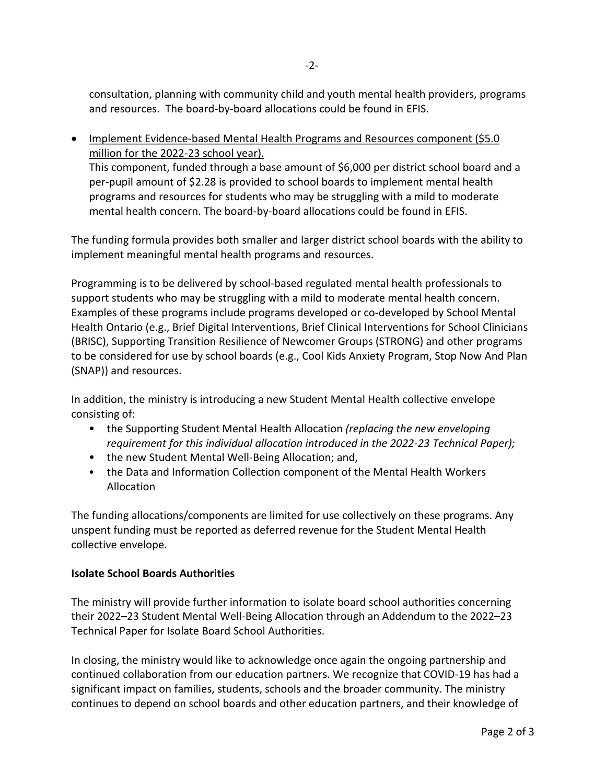consultation, planning with community child and youth mental health providers, programs and resources. The board-by-board allocations could be found in EFIS.

• Implement Evidence-based Mental Health Programs and Resources component (\$5.0 million for the 2022-23 school year).

This component, funded through a base amount of \$6,000 per district school board and a per-pupil amount of \$2.28 is provided to school boards to implement mental health programs and resources for students who may be struggling with a mild to moderate mental health concern. The board-by-board allocations could be found in EFIS.

The funding formula provides both smaller and larger district school boards with the ability to implement meaningful mental health programs and resources.

Programming is to be delivered by school-based regulated mental health professionals to support students who may be struggling with a mild to moderate mental health concern. Examples of these programs include programs developed or co-developed by School Mental Health Ontario (e.g., Brief Digital Interventions, Brief Clinical Interventions for School Clinicians (BRISC), Supporting Transition Resilience of Newcomer Groups (STRONG) and other programs to be considered for use by school boards (e.g., Cool Kids Anxiety Program, Stop Now And Plan (SNAP)) and resources.

In addition, the ministry is introducing a new Student Mental Health collective envelope consisting of:

- the Supporting Student Mental Health Allocation *(replacing the new enveloping requirement for this individual allocation introduced in the 2022-23 Technical Paper);*
- the new Student Mental Well-Being Allocation; and,
- the Data and Information Collection component of the Mental Health Workers Allocation

The funding allocations/components are limited for use collectively on these programs. Any unspent funding must be reported as deferred revenue for the Student Mental Health collective envelope.

## **Isolate School Boards Authorities**

The ministry will provide further information to isolate board school authorities concerning their 2022–23 Student Mental Well-Being Allocation through an Addendum to the 2022–23 Technical Paper for Isolate Board School Authorities.

In closing, the ministry would like to acknowledge once again the ongoing partnership and continued collaboration from our education partners. We recognize that COVID-19 has had a significant impact on families, students, schools and the broader community. The ministry continues to depend on school boards and other education partners, and their knowledge of